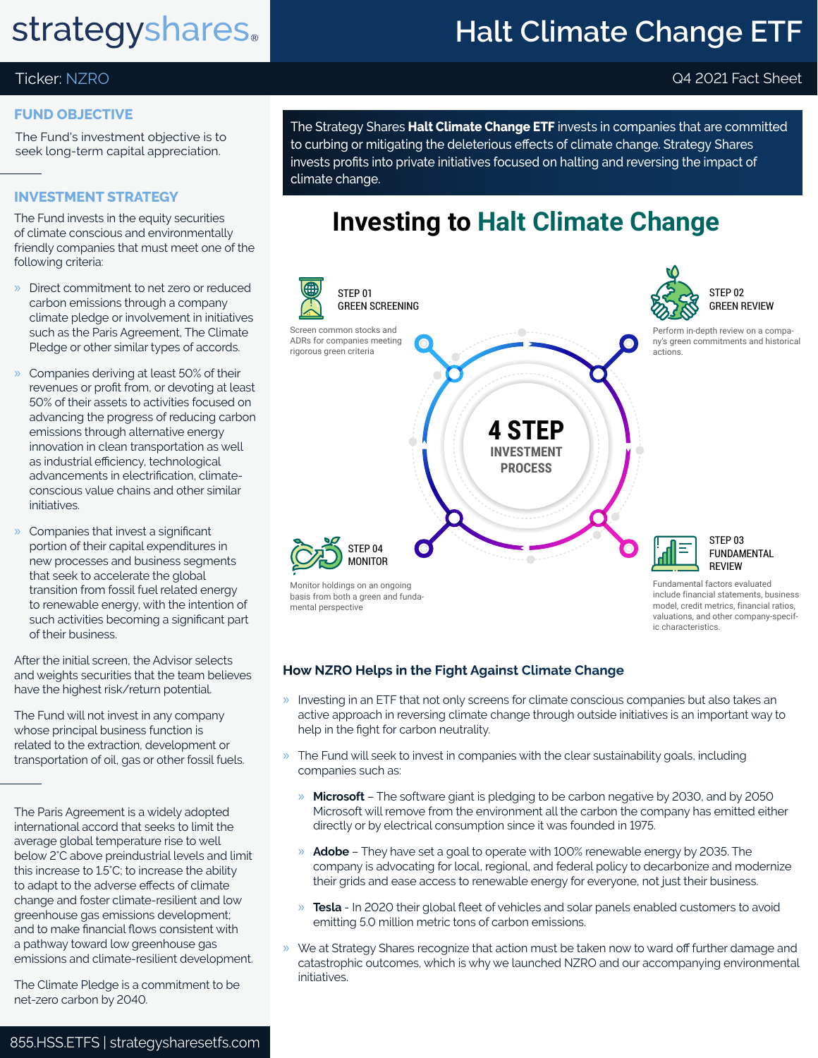# **strategyshares.**

## **Halt Climate Change ETF**

#### Ticker: NZRO Q4 2021 Fact Sheet

#### **FUND OBJECTIVE**

The Fund's investment objective is to seek long-term capital appreciation.

#### **INVESTMENT STRATEGY**

The Fund invests in the equity securities of climate conscious and environmentally friendly companies that must meet one of the following criteria:

- » Direct commitment to net zero or reduced carbon emissions through a company climate pledge or involvement in initiatives such as the Paris Agreement, The Climate Pledge or other similar types of accords.
- » Companies deriving at least 50% of their revenues or profit from, or devoting at least 50% of their assets to activities focused on advancing the progress of reducing carbon emissions through alternative energy innovation in clean transportation as well as industrial efficiency, technological advancements in electrification, climateconscious value chains and other similar initiatives.
- » Companies that invest a significant portion of their capital expenditures in new processes and business segments that seek to accelerate the global transition from fossil fuel related energy to renewable energy, with the intention of such activities becoming a significant part of their business.

After the initial screen, the Advisor selects and weights securities that the team believes have the highest risk/return potential.

The Fund will not invest in any company whose principal business function is related to the extraction, development or transportation of oil, gas or other fossil fuels.

The Paris Agreement is a widely adopted international accord that seeks to limit the average global temperature rise to well below 2°C above preindustrial levels and limit this increase to 1.5°C; to increase the ability to adapt to the adverse effects of climate change and foster climate-resilient and low greenhouse gas emissions development; and to make financial flows consistent with a pathway toward low greenhouse gas emissions and climate-resilient development.

The Climate Pledge is a commitment to be net-zero carbon by 2040.

The Strategy Shares **Halt Climate Change ETF** invests in companies that are committed to curbing or mitigating the deleterious effects of climate change. Strategy Shares invests profits into private initiatives focused on halting and reversing the impact of climate change.

### **Investing to Halt Climate Change**



### **How NZRO Helps in the Fight Against Climate Change**

- » Investing in an ETF that not only screens for climate conscious companies but also takes an active approach in reversing climate change through outside initiatives is an important way to help in the fight for carbon neutrality.
- » The Fund will seek to invest in companies with the clear sustainability goals, including companies such as:
	- » **Microsoft** The software giant is pledging to be carbon negative by 2030, and by 2050 Microsoft will remove from the environment all the carbon the company has emitted either directly or by electrical consumption since it was founded in 1975.
	- » **Adobe** They have set a goal to operate with 100% renewable energy by 2035. The company is advocating for local, regional, and federal policy to decarbonize and modernize their grids and ease access to renewable energy for everyone, not just their business.
	- » **Tesla** In 2020 their global fleet of vehicles and solar panels enabled customers to avoid emitting 5.0 million metric tons of carbon emissions.
- » We at Strategy Shares recognize that action must be taken now to ward off further damage and catastrophic outcomes, which is why we launched NZRO and our accompanying environmental initiatives.